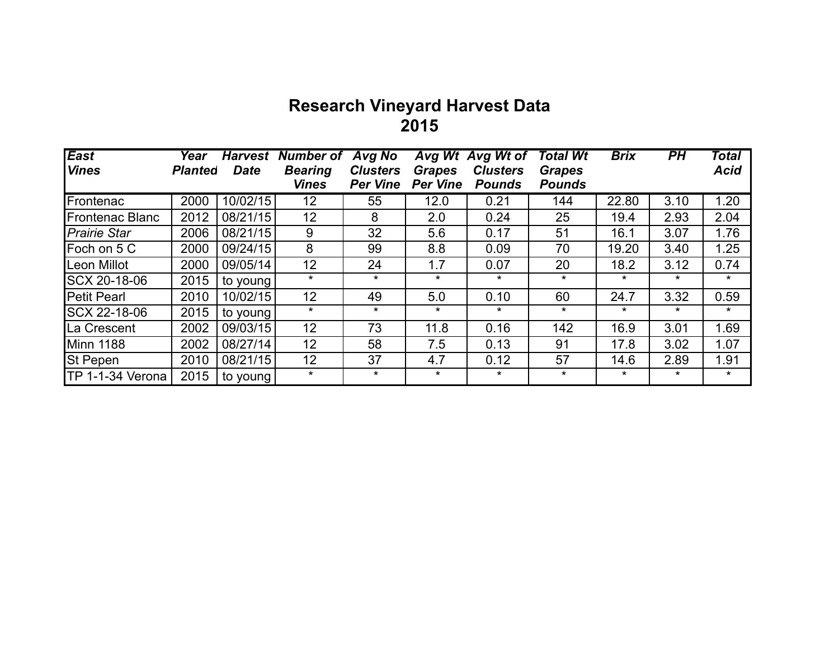## **Research Vineyard Harvest Data 2015**

| <b>East</b>            | Year           | <b>Harvest</b> | <b>Number of</b> | <b>Avg No</b>   | AvgWt           | <b>Avg Wt of</b> | <b>Total Wt</b> | <b>Brix</b> | PH      | Total       |
|------------------------|----------------|----------------|------------------|-----------------|-----------------|------------------|-----------------|-------------|---------|-------------|
| <b>Vines</b>           | <b>Planted</b> | <b>Date</b>    | <b>Bearing</b>   | <b>Clusters</b> | <b>Grapes</b>   | <b>Clusters</b>  | <b>Grapes</b>   |             |         | <b>Acid</b> |
|                        |                |                | <b>Vines</b>     | <b>Per Vine</b> | <b>Per Vine</b> | <b>Pounds</b>    | <b>Pounds</b>   |             |         |             |
| Frontenac              | 2000           | 10/02/15       | 12               | 55              | 12.0            | 0.21             | 144             | 22.80       | 3.10    | 1.20        |
| <b>Frontenac Blanc</b> | 2012           | 08/21/15       | 12               | 8               | 2.0             | 0.24             | 25              | 19.4        | 2.93    | 2.04        |
| <b>Prairie Star</b>    | 2006           | 08/21/15       | 9                | 32              | 5.6             | 0.17             | 51              | 16.1        | 3.07    | 1.76        |
| Foch on 5 C            | 2000           | 09/24/15       | 8                | 99              | 8.8             | 0.09             | 70              | 19.20       | 3.40    | 1.25        |
| Leon Millot            | 2000           | 09/05/14       | 12               | 24              | 1.7             | 0.07             | 20              | 18.2        | 3.12    | 0.74        |
| SCX 20-18-06           | 2015           | to young       | $\star$          | $\star$         | $\star$         | $\star$          | $\star$         | $\star$     | $\star$ | $\star$     |
| <b>Petit Pearl</b>     | 2010           | 10/02/15       | 12               | 49              | 5.0             | 0.10             | 60              | 24.7        | 3.32    | 0.59        |
| SCX 22-18-06           | 2015           | to young       | $\star$          | $\star$         | $\star$         | $\star$          | $\star$         | $\star$     | $\star$ | $\star$     |
| La Crescent            | 2002           | 09/03/15       | 12               | 73              | 11.8            | 0.16             | 142             | 16.9        | 3.01    | 1.69        |
| <b>Minn 1188</b>       | 2002           | 08/27/14       | 12               | 58              | 7.5             | 0.13             | 91              | 17.8        | 3.02    | 1.07        |
| <b>St Pepen</b>        | 2010           | 08/21/15       | 12               | 37              | 4.7             | 0.12             | 57              | 14.6        | 2.89    | 1.91        |
| TP 1-1-34 Verona       | 2015           | to young       | $\star$          | $\star$         | $\star$         | $\star$          | $\star$         | $\star$     | $\star$ | $\star$     |